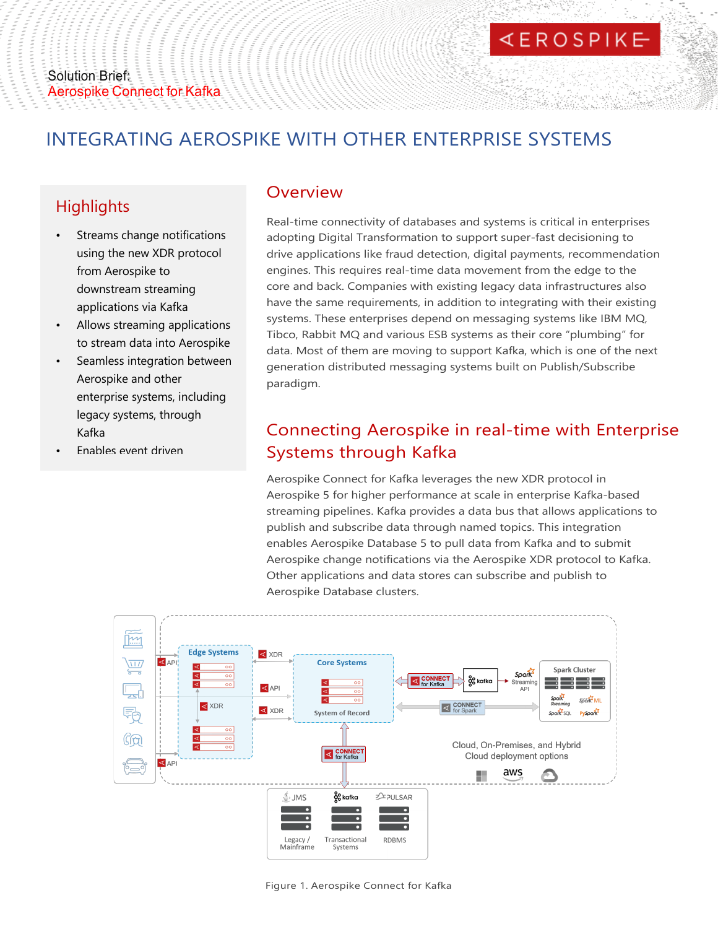# INTEGRATING AEROSPIKE WITH OTHER ENTERPRISE SYSTEMS

## **Highlights**

- Streams change notifications using the new XDR protocol from Aerospike to downstream streaming applications via Kafka
- Allows streaming applications to stream data into Aerospike
- Seamless integration between Aerospike and other enterprise systems, including legacy systems, through Kafka
- Enables event driven

### Overview

Real-time connectivity of databases and systems is critical in enterprises adopting Digital Transformation to support super-fast decisioning to drive applications like fraud detection, digital payments, recommendation engines. This requires real-time data movement from the edge to the core and back. Companies with existing legacy data infrastructures also have the same requirements, in addition to integrating with their existing systems. These enterprises depend on messaging systems like IBM MQ, Tibco, Rabbit MQ and various ESB systems as their core "plumbing" for data. Most of them are moving to support Kafka, which is one of the next generation distributed messaging systems built on Publish/Subscribe paradigm.

## Connecting Aerospike in real-time with Enterprise Systems through Kafka

Aerospike Connect for Kafka leverages the new XDR protocol in Aerospike 5 for higher performance at scale in enterprise Kafka-based streaming pipelines. Kafka provides a data bus that allows applications to publish and subscribe data through named topics. This integration enables Aerospike Database 5 to pull data from Kafka and to submit Aerospike change notifications via the Aerospike XDR protocol to Kafka. Other applications and data stores can subscribe and publish to Aerospike Database clusters.